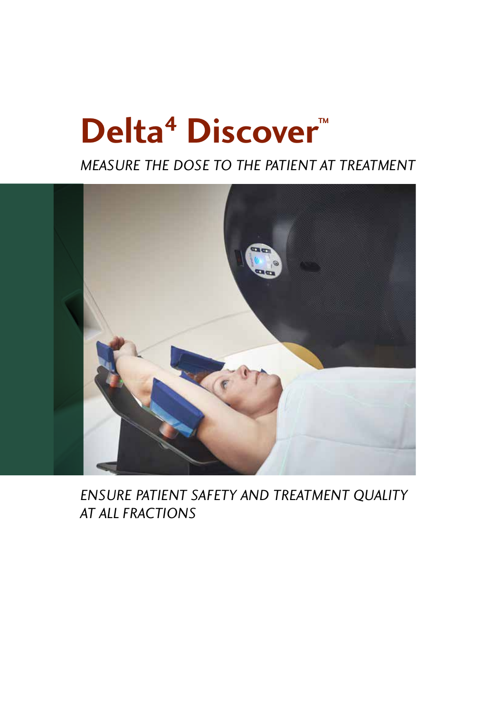# **Delta<sup>4</sup> Discover™**

*MEASURE THE DOSE TO THE PATIENT AT TREATMENT*



*ENSURE PATIENT SAFETY AND TREATMENT QUALITY AT ALL FRACTIONS*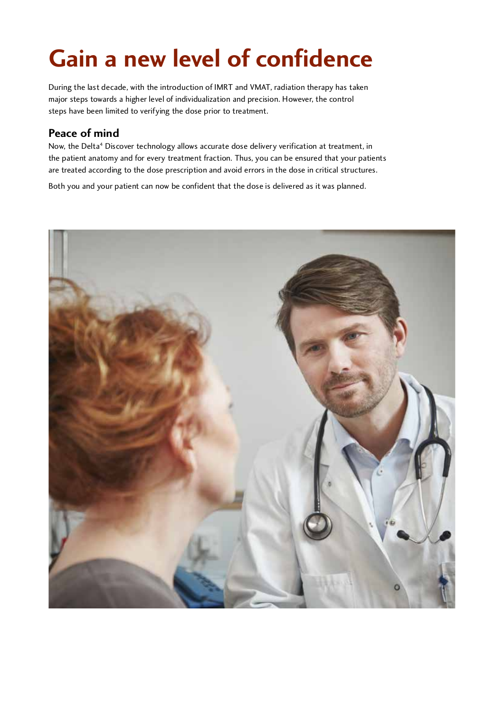# **Gain a new level of confidence**

During the last decade, with the introduction of IMRT and VMAT, radiation therapy has taken major steps towards a higher level of individualization and precision. However, the control steps have been limited to verifying the dose prior to treatment.

**Peace Of Mind**<br>New the Delta<sup>4</sup> Disc Now, the Delta4 Discover technology allows accurate dose delivery verification at treatment, in<br>diagonalism the patient anatomy and for every treatment fraction. Thus, you can be ensured that your patients are treated according to the dose prescription and avoid errors in the dose in critical structures.

Both you and your patient can now be confident that the dose is delivered as it was planned.

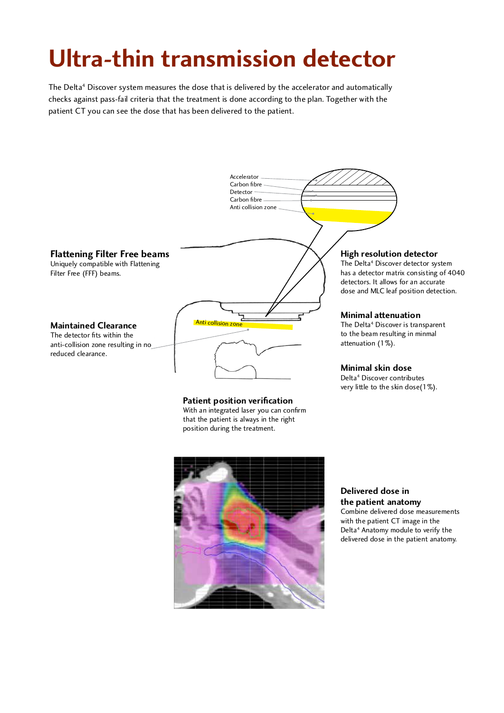# **Ultra-thin transmission detector**

The Delta<sup>4</sup> Discover system measures the dose that is delivered by the accelerator and automatically checks against pass-fail criteria that the treatment is done according to the plan. Together with the patient CT you can see the dose that has been delivered to the patient.





position during the treatment.

**Delivered dose in**  Combine delivered dose measurements with the patient CT image in the with the patient CT image in the Delta<sup>+</sup> Anatomy module to verify the delivered dose in the patient anatomy.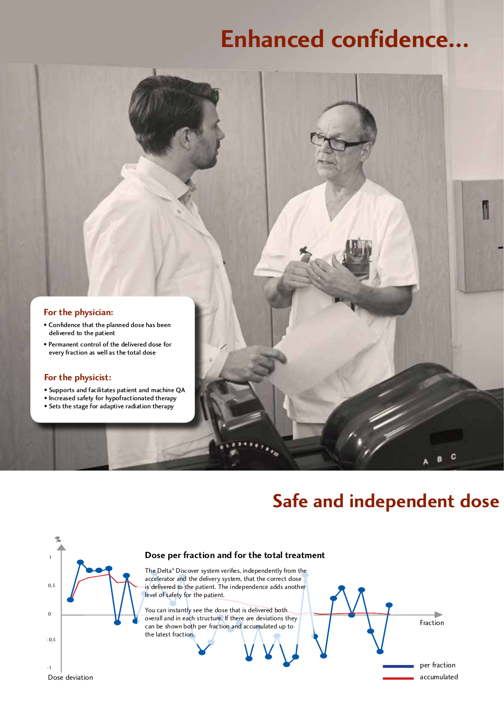# **Enhanced confidence...**



- Confidence that the planned dose has been delivered to the patient<br>• Permanent control of the delivered dose for
- Permanent control of the delivered dose for every fraction as well as the total dose

- **For the physicist:**<br>• Supports and facilitates patient and machine QA
- Increased safety for hypofractionated therapy • Increased safety for hypofractionated therapy
- Sets the stage for adaptive radiation therapy

## **Safe and independent dose**

C g

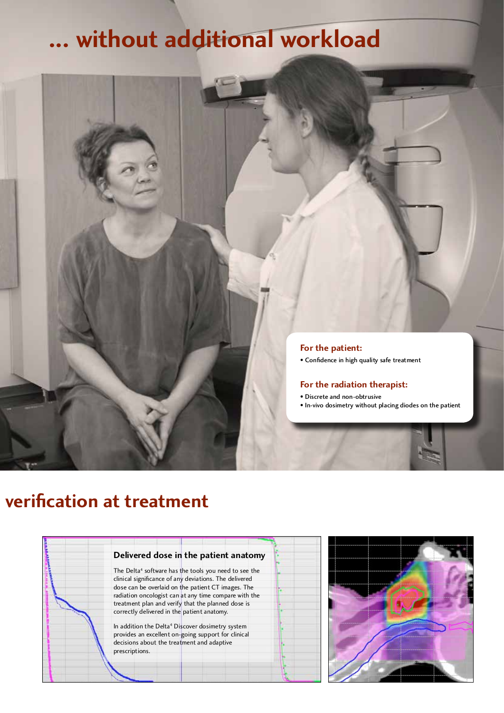## **Enhanced confidence... ... without additional workload**



### **Safe verification at treatment**



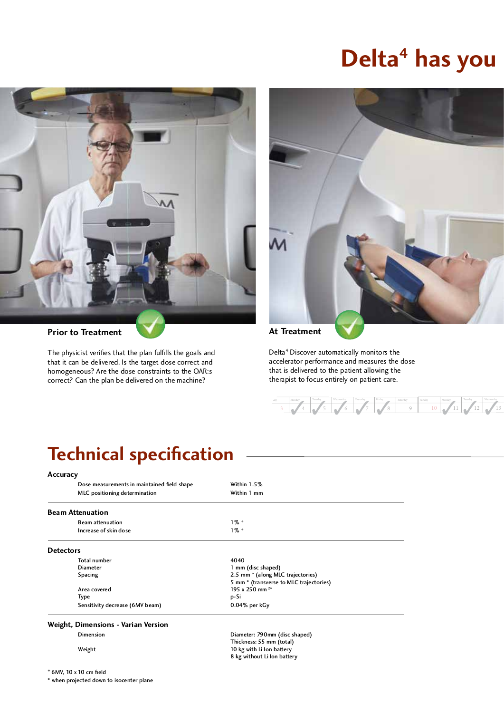## **Delta<sup>4</sup> has you**



### **Prior to Treatment** At Treatment

The physicist verifies that the plan fulfills the goals and that it can be delivered. Is the target dose correct and homogeneous? Are the dose constraints to the OAR:s homogeneous? Are the dose constraints to the OAR:s correct? Can the plan be delivered on the machine?



Delta<sup>4</sup> Discover automatically monitors the<br>accelerator performance and measures the dose that is delivered to the patient allowing the that is delivered to the patient allowing the therapist to focus entirely on patient care.

### Sunday Monday Tuesday Wednesday  $10 \times 11 \times 12 \times 13$ day | Monday | Tuesday | Wednesday | Thursday | Friday | Saturday 3  $4$   $4$   $5$   $6$   $7$   $8$ 3 3 3 3 3 3 3 3

### **Technical specification**

### **Accuracy**

| Dose measurements in maintained field shape<br>MLC positioning determination | Within 1.5%<br>Within 1 mm              |  |
|------------------------------------------------------------------------------|-----------------------------------------|--|
| <b>Beam Attenuation</b>                                                      |                                         |  |
| <b>Beam attenuation</b>                                                      | $1\%$ +                                 |  |
| Increase of skin dose                                                        | $1\%$ +                                 |  |
| <b>Detectors</b>                                                             |                                         |  |
| <b>Total number</b>                                                          | 4040                                    |  |
| <b>Diameter</b>                                                              | 1 mm (disc shaped)                      |  |
| <b>Spacing</b>                                                               | 2.5 mm * (along MLC trajectories)       |  |
|                                                                              | 5 mm * (transverse to MLC trajectories) |  |
| Area covered                                                                 | 195 x 250 mm <sup>2*</sup>              |  |
| Type                                                                         | p-Si                                    |  |
| Sensitivity decrease (6MV beam)                                              | $0.04\%$ per kGy                        |  |

### **Weight, Dimensions - Varian Version**

+ 6MV, 10 x 10 cm field

\* when projected down to isocenter plane

Diameter: 790mm (disc shaped)<br>Thickness: 55 mm (total) The contracts of the contracts of the contracts of the contracts of the contracts of the contracts of the contracts of the contracts of the contracts of the contracts of the contracts of the contracts of the contracts of t 8 kg without Li Ion battery  $\theta$  is a known battery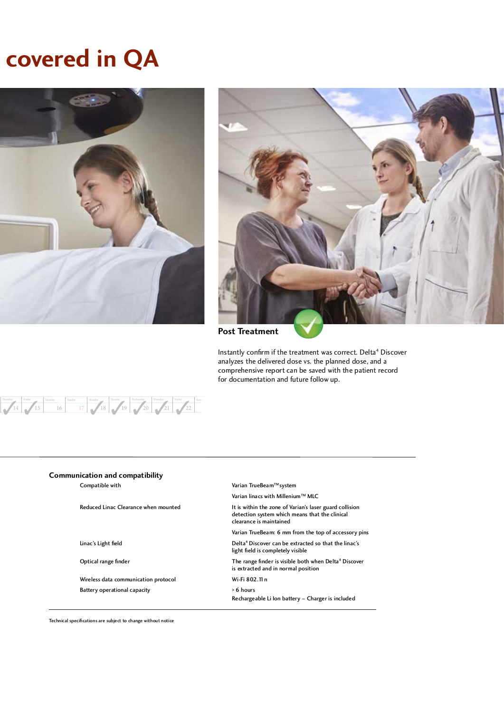## **covered in QA**





**Post Treatment** 

Instantly confirm if the treatment was correct. Delta<sup>4</sup> Discover analyzes the delivered dose vs. the planned dose, and a comprehensive report can be saved with the patient record comprehensive report can be saved with the patient record for documentation and future follow up.



| <b>Communication and compatibility</b> |
|----------------------------------------|
| Compatible with                        |

Wireless data communication protocol  $W - F$ i 802.<br>Battery operational capacity  $\rightarrow$  6 hours Battery operational capacity

Varian TrueBeam™ system

Varian linacs with Millenium™ MLC<br>Reduced Linac Clearance when mounted linac and the sone of Varian's laser guard collision Reduced Linac Clearance when mounted It is within the zone of Varian's laser guard collision.  $\frac{d}{dx}$  detection system which means that the clinical clearance is maintained

Varian TrueBeam: 6 mm from the top of accessory pins Linac's Light field **Delta4** Discover can be extracted so that the linac's

light field is completely visible<br>Optical range finder and the completely visible both and the complete of the range finder is visible both and the complete of the complete of the complete of the complete of the complete o

The range finder is visible both when Delta<sup>4</sup> Discover is extracted and in normal position

Rechargeable Li Ion battery – Charger is included

Technical specifications are subject to change without notice